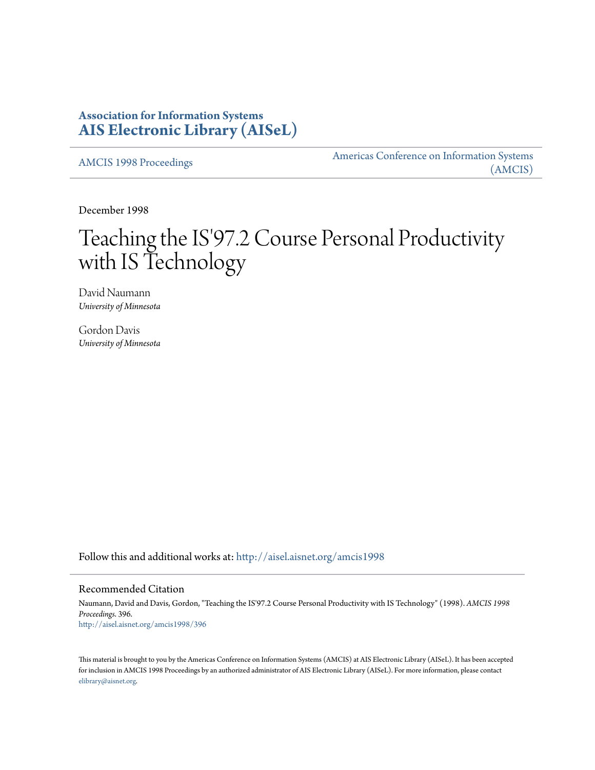# **Association for Information Systems [AIS Electronic Library \(AISeL\)](http://aisel.aisnet.org?utm_source=aisel.aisnet.org%2Famcis1998%2F396&utm_medium=PDF&utm_campaign=PDFCoverPages)**

[AMCIS 1998 Proceedings](http://aisel.aisnet.org/amcis1998?utm_source=aisel.aisnet.org%2Famcis1998%2F396&utm_medium=PDF&utm_campaign=PDFCoverPages)

[Americas Conference on Information Systems](http://aisel.aisnet.org/amcis?utm_source=aisel.aisnet.org%2Famcis1998%2F396&utm_medium=PDF&utm_campaign=PDFCoverPages) [\(AMCIS\)](http://aisel.aisnet.org/amcis?utm_source=aisel.aisnet.org%2Famcis1998%2F396&utm_medium=PDF&utm_campaign=PDFCoverPages)

December 1998

# Teaching the IS'97.2 Course Personal Productivity with IS Technology

David Naumann *University of Minnesota*

Gordon Davis *University of Minnesota*

Follow this and additional works at: [http://aisel.aisnet.org/amcis1998](http://aisel.aisnet.org/amcis1998?utm_source=aisel.aisnet.org%2Famcis1998%2F396&utm_medium=PDF&utm_campaign=PDFCoverPages)

### Recommended Citation

Naumann, David and Davis, Gordon, "Teaching the IS'97.2 Course Personal Productivity with IS Technology" (1998). *AMCIS 1998 Proceedings*. 396. [http://aisel.aisnet.org/amcis1998/396](http://aisel.aisnet.org/amcis1998/396?utm_source=aisel.aisnet.org%2Famcis1998%2F396&utm_medium=PDF&utm_campaign=PDFCoverPages)

This material is brought to you by the Americas Conference on Information Systems (AMCIS) at AIS Electronic Library (AISeL). It has been accepted for inclusion in AMCIS 1998 Proceedings by an authorized administrator of AIS Electronic Library (AISeL). For more information, please contact [elibrary@aisnet.org.](mailto:elibrary@aisnet.org%3E)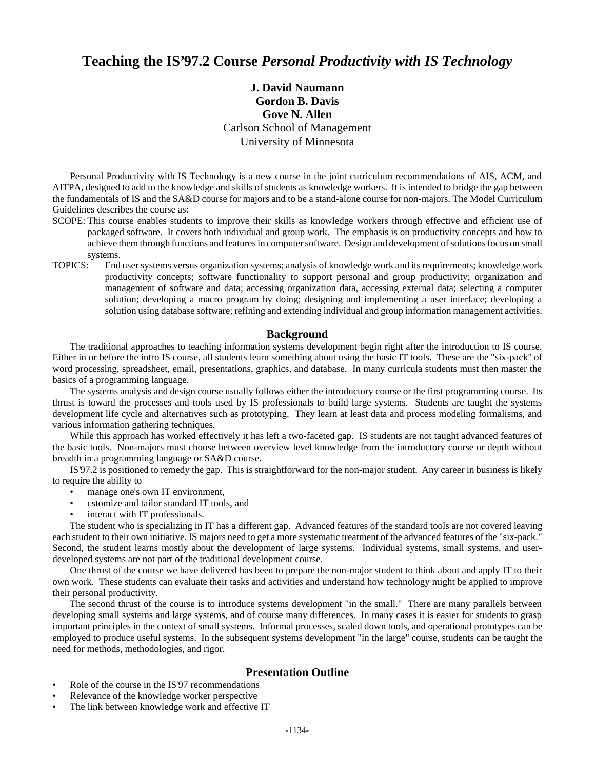## **Teaching the IS'97.2 Course** *Personal Productivity with IS Technology*

## **J. David Naumann Gordon B. Davis Gove N. Allen** Carlson School of Management University of Minnesota

Personal Productivity with IS Technology is a new course in the joint curriculum recommendations of AIS, ACM, and AITPA, designed to add to the knowledge and skills of students as knowledge workers. It is intended to bridge the gap between the fundamentals of IS and the SA&D course for majors and to be a stand-alone course for non-majors. The Model Curriculum Guidelines describes the course as:

- SCOPE: This course enables students to improve their skills as knowledge workers through effective and efficient use of packaged software. It covers both individual and group work. The emphasis is on productivity concepts and how to achieve them through functions and features in computer software. Design and development of solutions focus on small systems.
- TOPICS: End user systems versus organization systems; analysis of knowledge work and its requirements; knowledge work productivity concepts; software functionality to support personal and group productivity; organization and management of software and data; accessing organization data, accessing external data; selecting a computer solution; developing a macro program by doing; designing and implementing a user interface; developing a solution using database software; refining and extending individual and group information management activities.

#### **Background**

The traditional approaches to teaching information systems development begin right after the introduction to IS course. Either in or before the intro IS course, all students learn something about using the basic IT tools. These are the "six-pack" of word processing, spreadsheet, email, presentations, graphics, and database. In many curricula students must then master the basics of a programming language.

The systems analysis and design course usually follows either the introductory course or the first programming course. Its thrust is toward the processes and tools used by IS professionals to build large systems. Students are taught the systems development life cycle and alternatives such as prototyping. They learn at least data and process modeling formalisms, and various information gathering techniques.

While this approach has worked effectively it has left a two-faceted gap. IS students are not taught advanced features of the basic tools. Non-majors must choose between overview level knowledge from the introductory course or depth without breadth in a programming language or SA&D course.

IS'97.2 is positioned to remedy the gap. This is straightforward for the non-major student. Any career in business is likely to require the ability to

- manage one's own IT environment,
- cstomize and tailor standard IT tools, and
- interact with IT professionals.

The student who is specializing in IT has a different gap. Advanced features of the standard tools are not covered leaving each student to their own initiative. IS majors need to get a more systematic treatment of the advanced features of the "six-pack." Second, the student learns mostly about the development of large systems. Individual systems, small systems, and userdeveloped systems are not part of the traditional development course.

One thrust of the course we have delivered has been to prepare the non-major student to think about and apply IT to their own work. These students can evaluate their tasks and activities and understand how technology might be applied to improve their personal productivity.

The second thrust of the course is to introduce systems development "in the small." There are many parallels between developing small systems and large systems, and of course many differences. In many cases it is easier for students to grasp important principles in the context of small systems. Informal processes, scaled down tools, and operational prototypes can be employed to produce useful systems. In the subsequent systems development "in the large" course, students can be taught the need for methods, methodologies, and rigor.

#### **Presentation Outline**

- Role of the course in the IS'97 recommendations
- Relevance of the knowledge worker perspective
- The link between knowledge work and effective IT